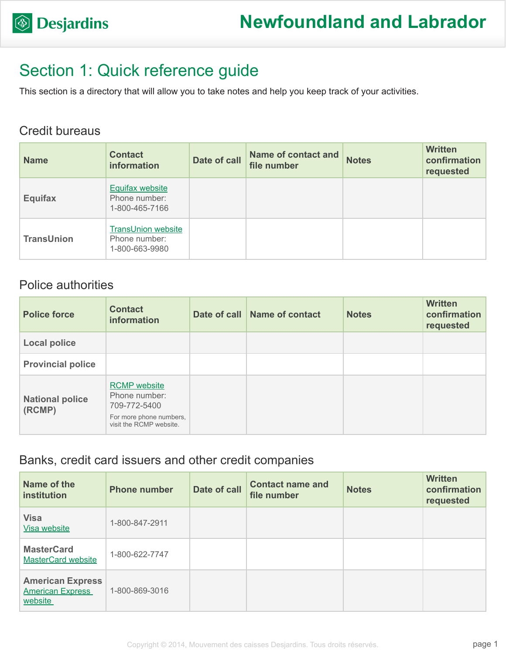

## Section 1: Quick reference guide

This section is a directory that will allow you to take notes and help you keep track of your activities.

#### Credit bureaus

| <b>Name</b>       | <b>Contact</b><br>information                                | Date of call | <b>Name of contact and</b><br>file number | <b>Notes</b> | <b>Written</b><br>confirmation<br>requested |
|-------------------|--------------------------------------------------------------|--------------|-------------------------------------------|--------------|---------------------------------------------|
| <b>Equifax</b>    | <b>Equifax website</b><br>Phone number:<br>1-800-465-7166    |              |                                           |              |                                             |
| <b>TransUnion</b> | <b>TransUnion website</b><br>Phone number:<br>1-800-663-9980 |              |                                           |              |                                             |

### Police authorities

| <b>Police force</b>              | <b>Contact</b><br><b>information</b>                                                                       | Date of call Name of contact | <b>Notes</b> | <b>Written</b><br>confirmation<br>requested |
|----------------------------------|------------------------------------------------------------------------------------------------------------|------------------------------|--------------|---------------------------------------------|
| <b>Local police</b>              |                                                                                                            |                              |              |                                             |
| <b>Provincial police</b>         |                                                                                                            |                              |              |                                             |
| <b>National police</b><br>(RCMP) | <b>RCMP</b> website<br>Phone number:<br>709-772-5400<br>For more phone numbers,<br>visit the RCMP website. |                              |              |                                             |

### Banks, credit card issuers and other credit companies

| Name of the<br>institution                                    | <b>Phone number</b> | Date of call | <b>Contact name and</b><br>file number | <b>Notes</b> | <b>Written</b><br>confirmation<br>requested |
|---------------------------------------------------------------|---------------------|--------------|----------------------------------------|--------------|---------------------------------------------|
| <b>Visa</b><br>Visa website                                   | 1-800-847-2911      |              |                                        |              |                                             |
| <b>MasterCard</b><br><b>MasterCard website</b>                | 1-800-622-7747      |              |                                        |              |                                             |
| <b>American Express</b><br><b>American Express</b><br>website | 1-800-869-3016      |              |                                        |              |                                             |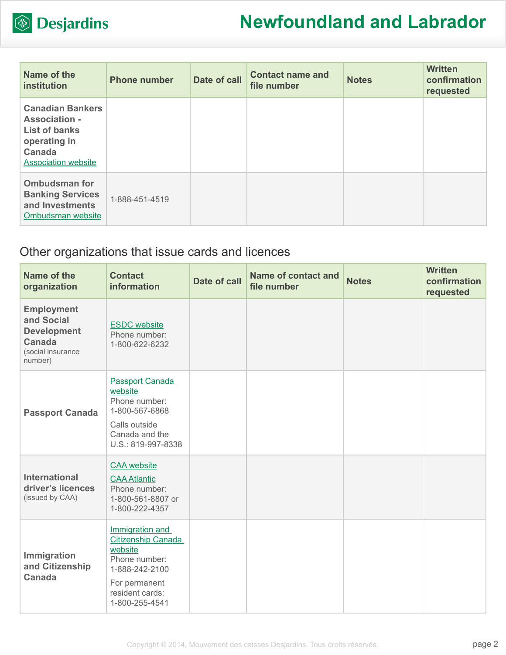

| Name of the<br>institution                                                                                                      | <b>Phone number</b> | Date of call | <b>Contact name and</b><br>file number | <b>Notes</b> | <b>Written</b><br>confirmation<br>requested |
|---------------------------------------------------------------------------------------------------------------------------------|---------------------|--------------|----------------------------------------|--------------|---------------------------------------------|
| <b>Canadian Bankers</b><br><b>Association -</b><br><b>List of banks</b><br>operating in<br>Canada<br><b>Association website</b> |                     |              |                                        |              |                                             |
| <b>Ombudsman for</b><br><b>Banking Services</b><br>and Investments<br>Ombudsman website                                         | 1-888-451-4519      |              |                                        |              |                                             |

### Other organizations that issue cards and licences

| Name of the<br>organization                                                                     | <b>Contact</b><br><b>information</b>                                                                                                      | <b>Date of call</b> | <b>Name of contact and</b><br>file number | <b>Notes</b> | <b>Written</b><br>confirmation<br>requested |
|-------------------------------------------------------------------------------------------------|-------------------------------------------------------------------------------------------------------------------------------------------|---------------------|-------------------------------------------|--------------|---------------------------------------------|
| <b>Employment</b><br>and Social<br><b>Development</b><br>Canada<br>(social insurance<br>number) | <b>ESDC</b> website<br>Phone number:<br>1-800-622-6232                                                                                    |                     |                                           |              |                                             |
| <b>Passport Canada</b>                                                                          | Passport Canada<br>website<br>Phone number:<br>1-800-567-6868<br>Calls outside<br>Canada and the<br>U.S.: 819-997-8338                    |                     |                                           |              |                                             |
| <b>International</b><br>driver's licences<br>(issued by CAA)                                    | <b>CAA</b> website<br><b>CAA Atlantic</b><br>Phone number:<br>1-800-561-8807 or<br>1-800-222-4357                                         |                     |                                           |              |                                             |
| Immigration<br>and Citizenship<br>Canada                                                        | Immigration and<br>Citizenship Canada<br>website<br>Phone number:<br>1-888-242-2100<br>For permanent<br>resident cards:<br>1-800-255-4541 |                     |                                           |              |                                             |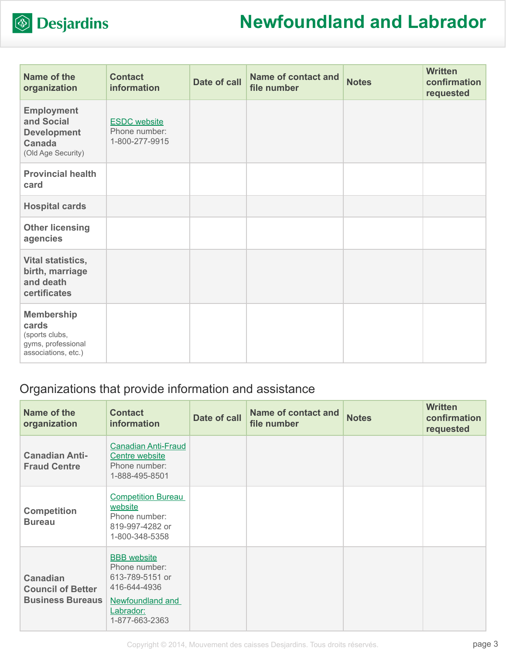

| Name of the<br>organization                                                               | <b>Contact</b><br>information                          | Date of call | <b>Name of contact and</b><br>file number | <b>Notes</b> | <b>Written</b><br>confirmation<br>requested |
|-------------------------------------------------------------------------------------------|--------------------------------------------------------|--------------|-------------------------------------------|--------------|---------------------------------------------|
| <b>Employment</b><br>and Social<br><b>Development</b><br>Canada<br>(Old Age Security)     | <b>ESDC</b> website<br>Phone number:<br>1-800-277-9915 |              |                                           |              |                                             |
| <b>Provincial health</b><br>card                                                          |                                                        |              |                                           |              |                                             |
| <b>Hospital cards</b>                                                                     |                                                        |              |                                           |              |                                             |
| <b>Other licensing</b><br>agencies                                                        |                                                        |              |                                           |              |                                             |
| Vital statistics,<br>birth, marriage<br>and death<br>certificates                         |                                                        |              |                                           |              |                                             |
| <b>Membership</b><br>cards<br>(sports clubs,<br>gyms, professional<br>associations, etc.) |                                                        |              |                                           |              |                                             |

### Organizations that provide information and assistance

| Name of the<br>organization                                            | <b>Contact</b><br>information                                                              | <b>Date of call</b> | <b>Name of contact and</b><br>file number | <b>Notes</b> | <b>Written</b><br>confirmation<br>requested |
|------------------------------------------------------------------------|--------------------------------------------------------------------------------------------|---------------------|-------------------------------------------|--------------|---------------------------------------------|
| <b>Canadian Anti-</b><br><b>Fraud Centre</b>                           | <b>Canadian Anti-Fraud</b><br>Centre website<br>Phone number:<br>1-888-495-8501            |                     |                                           |              |                                             |
| <b>Competition</b><br><b>Bureau</b>                                    | <b>Competition Bureau</b><br>website<br>Phone number:<br>819-997-4282 or<br>1-800-348-5358 |                     |                                           |              |                                             |
| <b>Canadian</b><br><b>Council of Better</b><br><b>Business Bureaus</b> | <b>BBB</b> website<br>Phone number:<br>613-789-5151 or<br>416-644-4936<br>Newfoundland and |                     |                                           |              |                                             |
|                                                                        | Labrador:<br>1-877-663-2363                                                                |                     |                                           |              |                                             |

Copyright © 2014, Mouvement des caisses Desjardins. Tous droits réservés.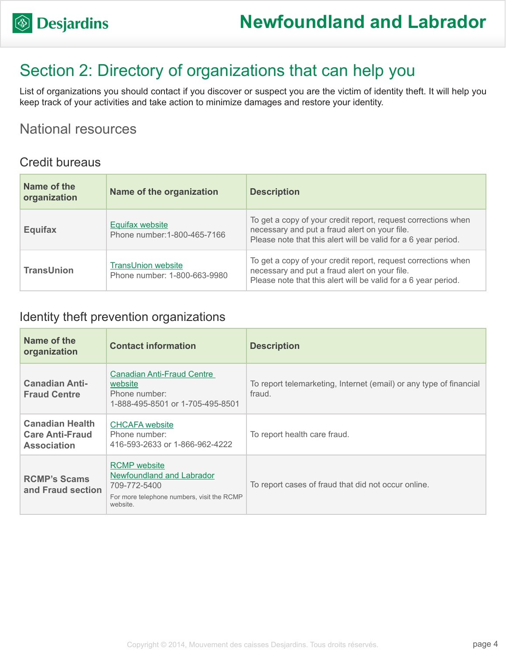## Section 2: Directory of organizations that can help you

List of organizations you should contact if you discover or suspect you are the victim of identity theft. It will help you keep track of your activities and take action to minimize damages and restore your identity.

### National resources

#### Credit bureaus

| Name of the<br>organization | Name of the organization                                  | <b>Description</b>                                                                                                                                                               |
|-----------------------------|-----------------------------------------------------------|----------------------------------------------------------------------------------------------------------------------------------------------------------------------------------|
| <b>Equifax</b>              | <b>Equifax website</b><br>Phone number: 1-800-465-7166    | To get a copy of your credit report, request corrections when<br>necessary and put a fraud alert on your file.<br>Please note that this alert will be valid for a 6 year period. |
| <b>TransUnion</b>           | <b>TransUnion website</b><br>Phone number: 1-800-663-9980 | To get a copy of your credit report, request corrections when<br>necessary and put a fraud alert on your file.<br>Please note that this alert will be valid for a 6 year period. |

#### Identity theft prevention organizations

| Name of the<br>organization                                            | <b>Contact information</b>                                                                                                 | <b>Description</b>                                                           |
|------------------------------------------------------------------------|----------------------------------------------------------------------------------------------------------------------------|------------------------------------------------------------------------------|
| <b>Canadian Anti-</b><br><b>Fraud Centre</b>                           | Canadian Anti-Fraud Centre<br>website<br>Phone number:<br>1-888-495-8501 or 1-705-495-8501                                 | To report telemarketing, Internet (email) or any type of financial<br>fraud. |
| <b>Canadian Health</b><br><b>Care Anti-Fraud</b><br><b>Association</b> | <b>CHCAFA</b> website<br>Phone number:<br>416-593-2633 or 1-866-962-4222                                                   | To report health care fraud.                                                 |
| <b>RCMP's Scams</b><br>and Fraud section                               | <b>RCMP</b> website<br>Newfoundland and Labrador<br>709-772-5400<br>For more telephone numbers, visit the RCMP<br>website. | To report cases of fraud that did not occur online.                          |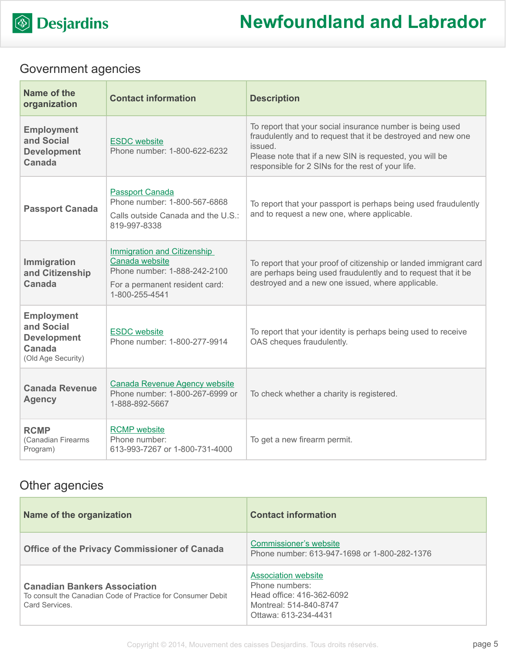

### Government agencies

| Name of the<br>organization                                                           | <b>Contact information</b>                                                                                                               | <b>Description</b>                                                                                                                                                                                                                                   |
|---------------------------------------------------------------------------------------|------------------------------------------------------------------------------------------------------------------------------------------|------------------------------------------------------------------------------------------------------------------------------------------------------------------------------------------------------------------------------------------------------|
| <b>Employment</b><br>and Social<br><b>Development</b><br>Canada                       | <b>ESDC</b> website<br>Phone number: 1-800-622-6232                                                                                      | To report that your social insurance number is being used<br>fraudulently and to request that it be destroyed and new one<br>issued.<br>Please note that if a new SIN is requested, you will be<br>responsible for 2 SINs for the rest of your life. |
| <b>Passport Canada</b>                                                                | <b>Passport Canada</b><br>Phone number: 1-800-567-6868<br>Calls outside Canada and the U.S.:<br>819-997-8338                             | To report that your passport is perhaps being used fraudulently<br>and to request a new one, where applicable.                                                                                                                                       |
| Immigration<br>and Citizenship<br><b>Canada</b>                                       | <b>Immigration and Citizenship</b><br>Canada website<br>Phone number: 1-888-242-2100<br>For a permanent resident card:<br>1-800-255-4541 | To report that your proof of citizenship or landed immigrant card<br>are perhaps being used fraudulently and to request that it be<br>destroyed and a new one issued, where applicable.                                                              |
| <b>Employment</b><br>and Social<br><b>Development</b><br>Canada<br>(Old Age Security) | <b>ESDC</b> website<br>Phone number: 1-800-277-9914                                                                                      | To report that your identity is perhaps being used to receive<br>OAS cheques fraudulently.                                                                                                                                                           |
| <b>Canada Revenue</b><br><b>Agency</b>                                                | <b>Canada Revenue Agency website</b><br>Phone number: 1-800-267-6999 or<br>1-888-892-5667                                                | To check whether a charity is registered.                                                                                                                                                                                                            |
| <b>RCMP</b><br>(Canadian Firearms<br>Program)                                         | <b>RCMP</b> website<br>Phone number:<br>613-993-7267 or 1-800-731-4000                                                                   | To get a new firearm permit.                                                                                                                                                                                                                         |

### Other agencies

| Name of the organization                                                                                            | <b>Contact information</b>                                                                                                  |
|---------------------------------------------------------------------------------------------------------------------|-----------------------------------------------------------------------------------------------------------------------------|
| <b>Office of the Privacy Commissioner of Canada</b>                                                                 | Commissioner's website<br>Phone number: 613-947-1698 or 1-800-282-1376                                                      |
| <b>Canadian Bankers Association</b><br>To consult the Canadian Code of Practice for Consumer Debit<br>Card Services | <b>Association website</b><br>Phone numbers:<br>Head office: 416-362-6092<br>Montreal: 514-840-8747<br>Ottawa: 613-234-4431 |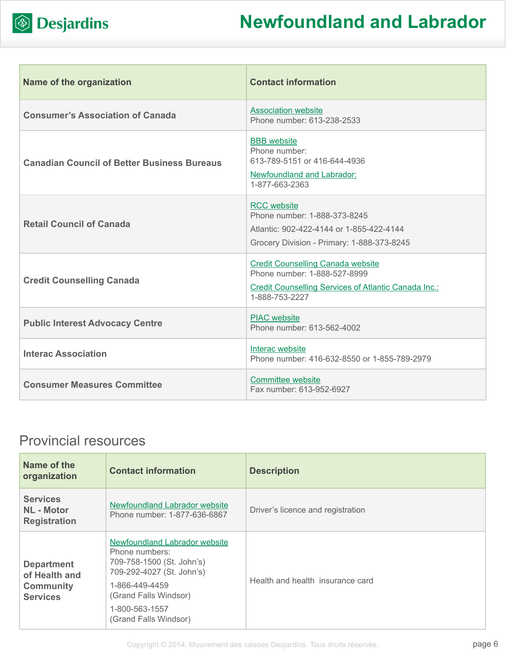

| Name of the organization                           | <b>Contact information</b>                                                                                                                         |
|----------------------------------------------------|----------------------------------------------------------------------------------------------------------------------------------------------------|
| <b>Consumer's Association of Canada</b>            | <b>Association website</b><br>Phone number: 613-238-2533                                                                                           |
| <b>Canadian Council of Better Business Bureaus</b> | <b>BBB</b> website<br>Phone number:<br>613-789-5151 or 416-644-4936<br><b>Newfoundland and Labrador:</b><br>1-877-663-2363                         |
| <b>Retail Council of Canada</b>                    | <b>RCC</b> website<br>Phone number: 1-888-373-8245<br>Atlantic: 902-422-4144 or 1-855-422-4144<br>Grocery Division - Primary: 1-888-373-8245       |
| <b>Credit Counselling Canada</b>                   | <b>Credit Counselling Canada website</b><br>Phone number: 1-888-527-8999<br>Credit Counselling Services of Atlantic Canada Inc.:<br>1-888-753-2227 |
| <b>Public Interest Advocacy Centre</b>             | <b>PIAC</b> website<br>Phone number: 613-562-4002                                                                                                  |
| <b>Interac Association</b>                         | Interac website<br>Phone number: 416-632-8550 or 1-855-789-2979                                                                                    |
| <b>Consumer Measures Committee</b>                 | <b>Committee website</b><br>Fax number: 613-952-6927                                                                                               |

### Provincial resources

| Name of the<br>organization                                               | <b>Contact information</b>                                                                                                                           | <b>Description</b>                |
|---------------------------------------------------------------------------|------------------------------------------------------------------------------------------------------------------------------------------------------|-----------------------------------|
| <b>Services</b><br><b>NL</b> - Motor<br><b>Registration</b>               | Newfoundland Labrador website<br>Phone number: 1-877-636-6867                                                                                        | Driver's licence and registration |
| <b>Department</b><br>of Health and<br><b>Community</b><br><b>Services</b> | Newfoundland Labrador website<br>Phone numbers:<br>709-758-1500 (St. John's)<br>709-292-4027 (St. John's)<br>1-866-449-4459<br>(Grand Falls Windsor) | Health and health insurance card  |
|                                                                           | 1-800-563-1557<br>(Grand Falls Windsor)                                                                                                              |                                   |

Copyright © 2014, Mouvement des caisses Desjardins. Tous droits réservés.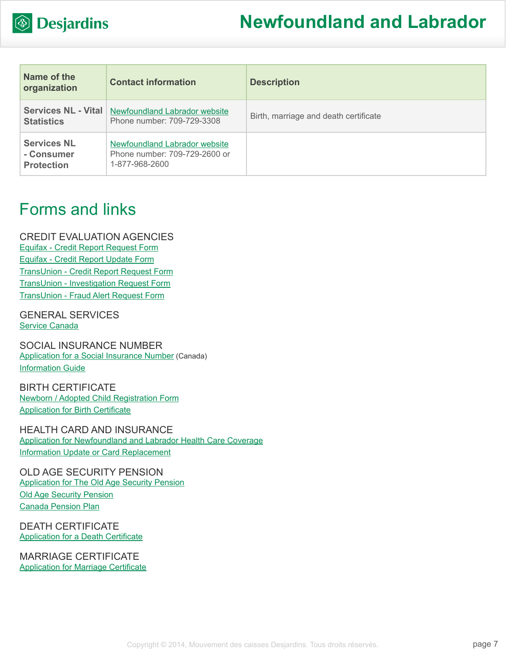

| Name of the<br>organization                           | <b>Contact information</b>                                                              | <b>Description</b>                    |
|-------------------------------------------------------|-----------------------------------------------------------------------------------------|---------------------------------------|
| <b>Services NL - Vital</b><br><b>Statistics</b>       | <b>Newfoundland Labrador website</b><br>Phone number: 709-729-3308                      | Birth, marriage and death certificate |
| <b>Services NL</b><br>- Consumer<br><b>Protection</b> | <b>Newfoundland Labrador website</b><br>Phone number: 709-729-2600 or<br>1-877-968-2600 |                                       |

## Forms and links

CREDIT EVALUATION AGENCIES [Equifax - Credit Report Request Form](http://www.equifax.com/ecm/canada/EFXCreditReportRequestForm.pdf) [Equifax - Credit Report Update Form](http://www.consumer.equifax.ca/dispute-ca/canada-cr-update-form/en_ca) [TransUnion - Credit Report Request Form](http://www.transunion.ca/docs/personal/Consumer_Disclosure_Request_Form_en.pdf) [TransUnion - Investigation Request Form](http://www.transunion.ca/docs/personal/Credit Investigation Request Form_en.pdf) [TransUnion - Fraud Alert Request Form](http://www.transunion.ca/docs/personal/Ca_Fraud_Alert_Request_Form.pdf)

GENERAL SERVICES [Service Canada](http://www.servicecanada.gc.ca/eng/home.shtml)

SOCIAL INSURANCE NUMBER [Application for a Social Insurance Number](http://www.servicecanada.gc.ca/cgi-bin/search/eforms/index.cgi?app=prfl&frm=nas2120&ln=eng) (Canada) [Information Guide](http://www.servicecanada.gc.ca/eforms/forms/nas-2120-(09-13)e.pdf)

BIRTH CERTIFICATE [Newborn / Adopted Child Registration Form](http://www.health.gov.nl.ca/health/mcp/forms/newborn.pdf) [Application for Birth Certificate](http://www.gs.gov.nl.ca/birth/birth_certificate/application_for_birth_certificate.pdf)

HEALTH CARD AND INSURANCE [Application for Newfoundland and Labrador Health Care Coverage](http://www.health.gov.nl.ca/health/mcp/forms/ben_reg.pdf) [Information Update or Card Replacement](http://www.health.gov.nl.ca/health/mcp/forms/public_services_form_new_mcp.pdf)

OLD AGE SECURITY PENSION [Application for The Old Age Security Pension](http://www.servicecanada.gc.ca/cgi-bin/search/eforms/index.cgi?app=prfl&frm=isp3000&ln=eng) [Old Age Security Pension](http://www.servicecanada.gc.ca/eng/sc/oas/pension/oldagesecurity.shtml) [Canada Pension Plan](http://www.servicecanada.gc.ca/eng/isp/cpp/cpptoc.shtml)

DEATH CERTIFICATE [Application for a Death Certificate](http://www.gs.gov.nl.ca/birth/death_certificate/application_for_marriage_or_death_certificate.pdf)

MARRIAGE CERTIFICATE [Application for Marriage Certificate](http://www.gs.gov.nl.ca/birth/marriage_cert/app_service.pdf)